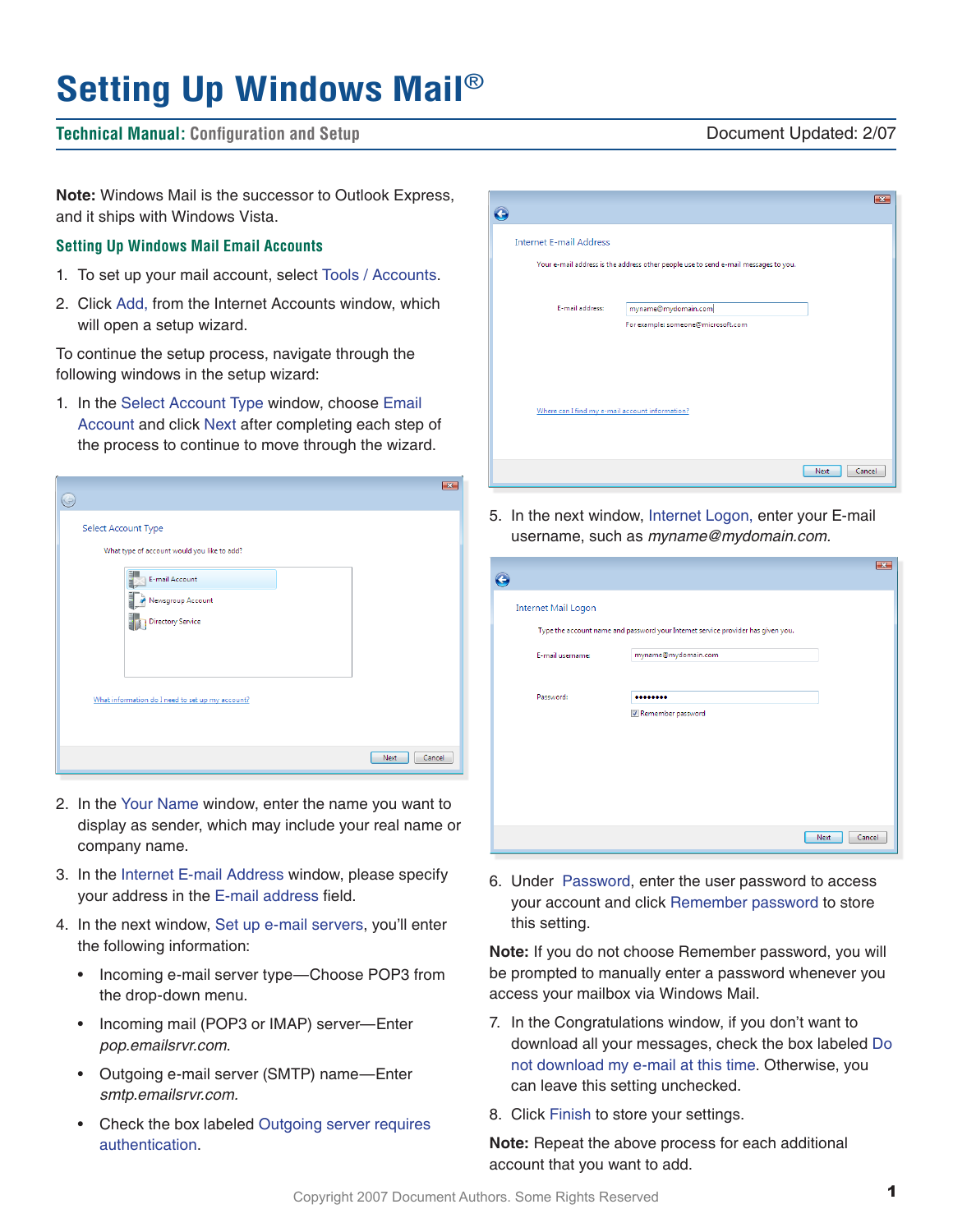# **Setting Up Windows Mail**®

# **Technical Manual: Configuration and Setup** Document Updated: 2/07

**Note:** Windows Mail is the successor to Outlook Express, and it ships with Windows Vista.

## **Setting Up Windows Mail Email Accounts**

- 1. To set up your mail account, select Tools / Accounts.
- 2. Click Add, from the Internet Accounts window, which will open a setup wizard.

To continue the setup process, navigate through the following windows in the setup wizard:

1. In the Select Account Type window, choose Email Account and click Next after completing each step of the process to continue to move through the wizard.

| Select Account Type                              |        |
|--------------------------------------------------|--------|
| What type of account would you like to add?      |        |
| E-mail Account                                   |        |
| Newsgroup Account                                |        |
| <b>Directory Service</b>                         |        |
|                                                  |        |
|                                                  |        |
| What information do I need to set up my account? |        |
|                                                  |        |
| Next                                             | Cancel |

- 2. In the Your Name window, enter the name you want to display as sender, which may include your real name or company name.
- 3. In the Internet E-mail Address window, please specify your address in the E-mail address field.
- 4. In the next window, Set up e-mail servers, you'll enter the following information:
	- Incoming e-mail server type—Choose POP3 from the drop-down menu.
	- Incoming mail (POP3 or IMAP) server—Enter *pop.emailsrvr.com*.
	- Outgoing e-mail server (SMTP) name—Enter *smtp.emailsrvr.com.*
	- Check the box labeled Outgoing server requires authentication.

|                                                 |                                                                                     | $\mathbf{X}$          |
|-------------------------------------------------|-------------------------------------------------------------------------------------|-----------------------|
| <b>Internet E-mail Address</b>                  |                                                                                     |                       |
|                                                 | Your e-mail address is the address other people use to send e-mail messages to you. |                       |
| E-mail address:                                 | myname@mydomain.com                                                                 |                       |
|                                                 | For example: someone@microsoft.com                                                  |                       |
|                                                 |                                                                                     |                       |
|                                                 |                                                                                     |                       |
| Where can I find my e-mail account information? |                                                                                     |                       |
|                                                 |                                                                                     |                       |
|                                                 |                                                                                     | <b>Next</b><br>Cancel |

5. In the next window, Internet Logon, enter your E-mail username, such as *myname@mydomain.com.*

| $\bullet$                  |                                                                                  |                |
|----------------------------|----------------------------------------------------------------------------------|----------------|
| <b>Internet Mail Logon</b> |                                                                                  |                |
|                            | Type the account name and password your Internet service provider has given you. |                |
| E-mail username:           | myname@mydomain.com                                                              |                |
|                            |                                                                                  |                |
| Password:                  | <br>Remember password                                                            |                |
|                            |                                                                                  |                |
|                            |                                                                                  |                |
|                            |                                                                                  |                |
|                            |                                                                                  |                |
|                            |                                                                                  | Next<br>Cancel |

6. Under Password, enter the user password to access your account and click Remember password to store this setting.

**Note:** If you do not choose Remember password, you will be prompted to manually enter a password whenever you access your mailbox via Windows Mail.

- 7. In the Congratulations window, if you don't want to download all your messages, check the box labeled Do not download my e-mail at this time. Otherwise, you can leave this setting unchecked.
- 8. Click Finish to store your settings.

**Note:** Repeat the above process for each additional account that you want to add.